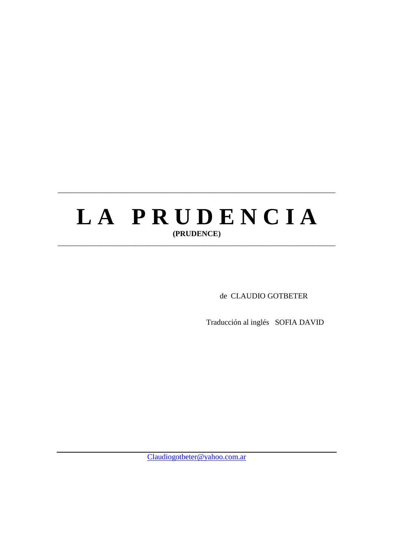# LA PRUDENCIA **(PRUDENCE)**  \_\_\_\_\_\_\_\_\_\_\_\_\_\_\_\_\_\_\_\_\_\_\_\_\_\_\_\_\_\_\_\_\_\_\_\_\_\_\_\_\_\_\_\_\_\_\_\_\_\_\_\_\_\_\_\_\_\_\_\_\_\_\_\_\_\_\_\_\_\_\_\_

\_\_\_\_\_\_\_\_\_\_\_\_\_\_\_\_\_\_\_\_\_\_\_\_\_\_\_\_\_\_\_\_\_\_\_\_\_\_\_\_\_\_\_\_\_\_\_\_\_\_\_\_\_\_\_\_\_\_\_\_\_\_\_\_\_\_\_\_\_\_\_\_

de CLAUDIO GOTBETER

Traducción al inglés SOFIA DAVID

Claudiogotbeter@yahoo.com.ar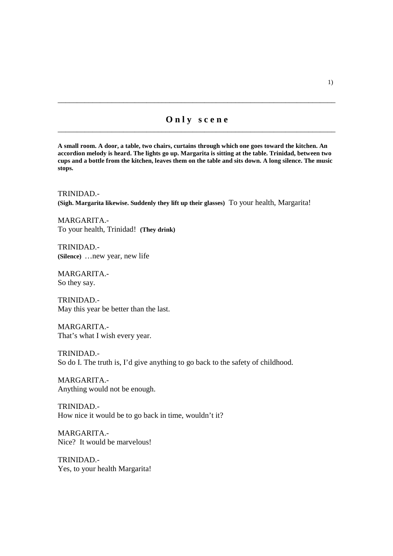# **O n l y s c e n e** \_\_\_\_\_\_\_\_\_\_\_\_\_\_\_\_\_\_\_\_\_\_\_\_\_\_\_\_\_\_\_\_\_\_\_\_\_\_\_\_\_\_\_\_\_\_\_\_\_\_\_\_\_\_\_\_\_\_\_\_\_\_\_\_\_\_\_\_\_\_\_\_

\_\_\_\_\_\_\_\_\_\_\_\_\_\_\_\_\_\_\_\_\_\_\_\_\_\_\_\_\_\_\_\_\_\_\_\_\_\_\_\_\_\_\_\_\_\_\_\_\_\_\_\_\_\_\_\_\_\_\_\_\_\_\_\_\_\_\_\_\_\_\_\_

**A small room. A door, a table, two chairs, curtains through which one goes toward the kitchen. An accordion melody is heard. The lights go up. Margarita is sitting at the table. Trinidad, between two cups and a bottle from the kitchen, leaves them on the table and sits down. A long silence. The music stops.**

TRINIDAD.- **(Sigh. Margarita likewise. Suddenly they lift up their glasses)** To your health, Margarita!

MARGARITA.- To your health, Trinidad! **(They drink)**

TRINIDAD.- **(Silence)** …new year, new life

MARGARITA.- So they say.

TRINIDAD.- May this year be better than the last.

MARGARITA.- That's what I wish every year.

TRINIDAD.- So do I. The truth is, I'd give anything to go back to the safety of childhood.

MARGARITA.- Anything would not be enough.

TRINIDAD.- How nice it would be to go back in time, wouldn't it?

MARGARITA.- Nice? It would be marvelous!

TRINIDAD.- Yes, to your health Margarita!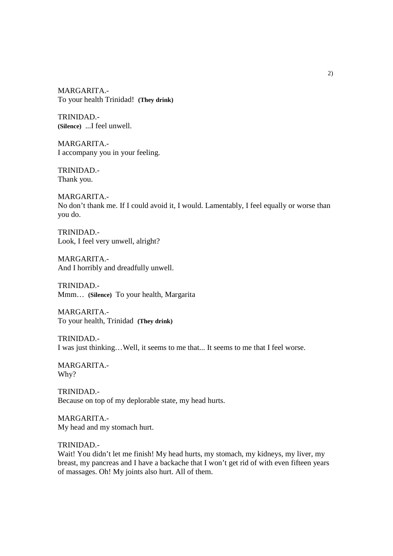MARGARITA.- To your health Trinidad! **(They drink)**

TRINIDAD.- **(Silence)** ...I feel unwell.

MARGARITA.- I accompany you in your feeling.

TRINIDAD.- Thank you.

MARGARITA.- No don't thank me. If I could avoid it, I would. Lamentably, I feel equally or worse than you do.

TRINIDAD.- Look, I feel very unwell, alright?

MARGARITA.- And I horribly and dreadfully unwell.

TRINIDAD.- Mmm… **(Silence)** To your health, Margarita

MARGARITA.- To your health, Trinidad **(They drink)**

TRINIDAD.- I was just thinking…Well, it seems to me that... It seems to me that I feel worse.

MARGARITA.- Why?

TRINIDAD.- Because on top of my deplorable state, my head hurts.

MARGARITA.- My head and my stomach hurt.

TRINIDAD.-

Wait! You didn't let me finish! My head hurts, my stomach, my kidneys, my liver, my breast, my pancreas and I have a backache that I won't get rid of with even fifteen years of massages. Oh! My joints also hurt. All of them.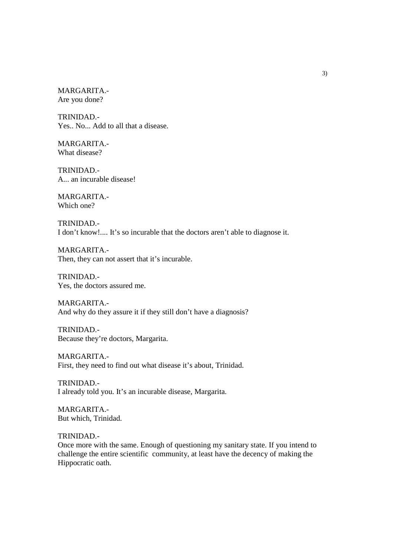MARGARITA.- Are you done?

TRINIDAD.- Yes.. No... Add to all that a disease.

MARGARITA.- What disease?

TRINIDAD.- A... an incurable disease!

MARGARITA.- Which one?

TRINIDAD.- I don't know!.... It's so incurable that the doctors aren't able to diagnose it.

MARGARITA.- Then, they can not assert that it's incurable.

TRINIDAD.- Yes, the doctors assured me.

MARGARITA.- And why do they assure it if they still don't have a diagnosis?

TRINIDAD.- Because they're doctors, Margarita.

MARGARITA.- First, they need to find out what disease it's about, Trinidad.

TRINIDAD.- I already told you. It's an incurable disease, Margarita.

MARGARITA.- But which, Trinidad.

TRINIDAD.-

Once more with the same. Enough of questioning my sanitary state. If you intend to challenge the entire scientific community, at least have the decency of making the Hippocratic oath.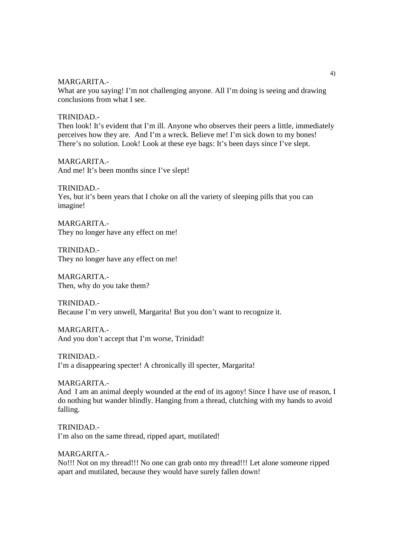MARGARITA.-

What are you saying! I'm not challenging anyone. All I'm doing is seeing and drawing conclusions from what I see.

#### TRINIDAD.-

Then look! It's evident that I'm ill. Anyone who observes their peers a little, immediately perceives how they are. And I'm a wreck. Believe me! I'm sick down to my bones! There's no solution. Look! Look at these eye bags: It's been days since I've slept.

MARGARITA.- And me! It's been months since I've slept!

#### TRINIDAD.-

Yes, but it's been years that I choke on all the variety of sleeping pills that you can imagine!

MARGARITA.- They no longer have any effect on me!

TRINIDAD.- They no longer have any effect on me!

MARGARITA.- Then, why do you take them?

TRINIDAD.- Because I'm very unwell, Margarita! But you don't want to recognize it.

MARGARITA.- And you don't accept that I'm worse, Trinidad!

TRINIDAD.- I'm a disappearing specter! A chronically ill specter, Margarita!

MARGARITA.- And I am an animal deeply wounded at the end of its agony! Since I have use of reason, I do nothing but wander blindly. Hanging from a thread, clutching with my hands to avoid falling.

TRINIDAD.- I'm also on the same thread, ripped apart, mutilated!

MARGARITA.- No!!! Not on my thread!!! No one can grab onto my thread!!! Let alone someone ripped apart and mutilated, because they would have surely fallen down!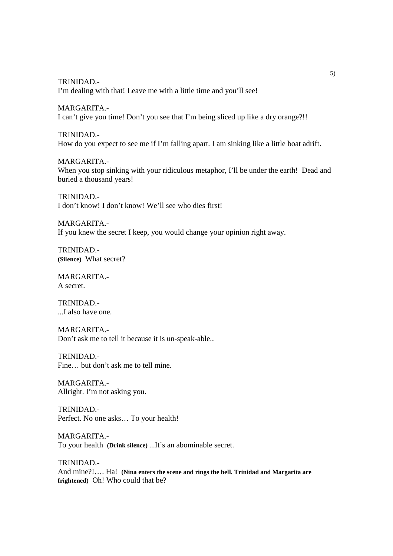TRINIDAD.- I'm dealing with that! Leave me with a little time and you'll see!

MARGARITA.- I can't give you time! Don't you see that I'm being sliced up like a dry orange?!!

TRINIDAD.- How do you expect to see me if I'm falling apart. I am sinking like a little boat adrift.

MARGARITA.- When you stop sinking with your ridiculous metaphor, I'll be under the earth! Dead and buried a thousand years!

TRINIDAD.- I don't know! I don't know! We'll see who dies first!

MARGARITA.- If you knew the secret I keep, you would change your opinion right away.

TRINIDAD.- **(Silence)** What secret?

MARGARITA.- A secret.

TRINIDAD.- ...I also have one.

MARGARITA.- Don't ask me to tell it because it is un-speak-able..

TRINIDAD.- Fine... but don't ask me to tell mine.

MARGARITA.- Allright. I'm not asking you.

TRINIDAD.- Perfect. No one asks… To your health!

MARGARITA.- To your health **(Drink silence)** ...It's an abominable secret.

TRINIDAD.- And mine?!…. Ha! **(Nina enters the scene and rings the bell. Trinidad and Margarita are frightened)** Oh! Who could that be?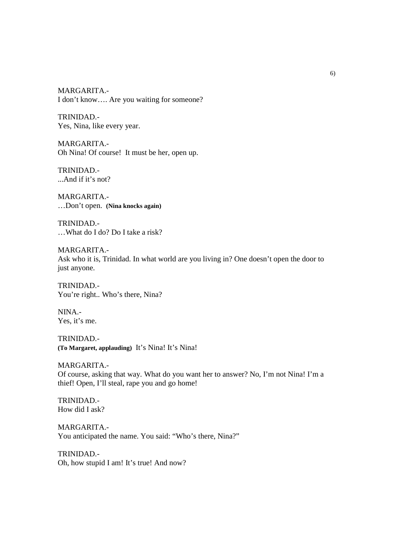MARGARITA.- I don't know…. Are you waiting for someone?

TRINIDAD.- Yes, Nina, like every year.

MARGARITA.- Oh Nina! Of course! It must be her, open up.

TRINIDAD.- ...And if it's not?

MARGARITA.- …Don't open. **(Nina knocks again)**

TRINIDAD.- …What do I do? Do I take a risk?

MARGARITA.- Ask who it is, Trinidad. In what world are you living in? One doesn't open the door to just anyone.

TRINIDAD.- You're right.. Who's there, Nina?

NINA.- Yes, it's me.

TRINIDAD.- **(To Margaret, applauding)** It's Nina! It's Nina!

MARGARITA.- Of course, asking that way. What do you want her to answer? No, I'm not Nina! I'm a thief! Open, I'll steal, rape you and go home!

TRINIDAD.- How did I ask?

MARGARITA.- You anticipated the name. You said: "Who's there, Nina?"

TRINIDAD.- Oh, how stupid I am! It's true! And now?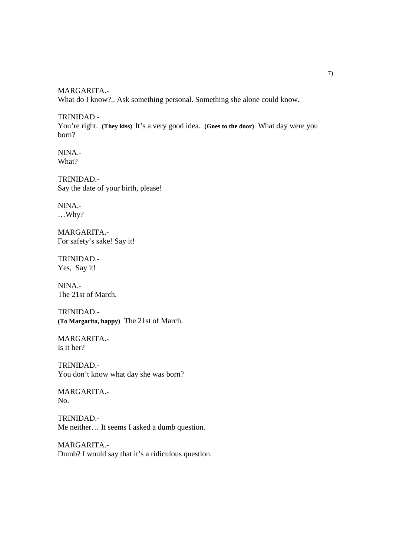MARGARITA.- What do I know?.. Ask something personal. Something she alone could know.

TRINIDAD.- You're right. **(They kiss)** It's a very good idea. **(Goes to the door)** What day were you born?

NINA.- What?

TRINIDAD.- Say the date of your birth, please!

NINA.- …Why?

MARGARITA.- For safety's sake! Say it!

TRINIDAD.- Yes, Say it!

NINA.- The 21st of March.

TRINIDAD.- **(To Margarita, happy)** The 21st of March.

MARGARITA.- Is it her?

TRINIDAD.- You don't know what day she was born?

MARGARITA.- No.

TRINIDAD.- Me neither… It seems I asked a dumb question.

MARGARITA.- Dumb? I would say that it's a ridiculous question.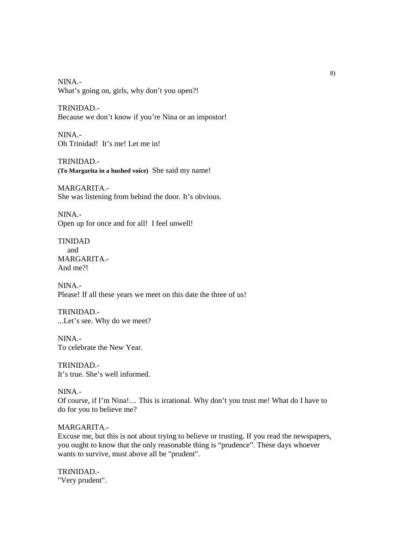NINA.- What's going on, girls, why don't you open?!

TRINIDAD.- Because we don't know if you're Nina or an impostor!

NINA.- Oh Trinidad! It's me! Let me in!

TRINIDAD.- **(To Margarita in a hushed voice)** She said my name!

MARGARITA.- She was listening from behind the door. It's obvious.

NINA.- Open up for once and for all! I feel unwell!

TINIDAD and MARGARITA.- And me?!

NINA.- Please! If all these years we meet on this date the three of us!

TRINIDAD.- ...Let's see. Why do we meet?

NINA.- To celebrate the New Year.

TRINIDAD.- It's true. She's well informed.

NINA.-

Of course, if I'm Nina!… This is irrational. Why don't you trust me! What do I have to do for you to believe me?

## MARGARITA.-

Excuse me, but this is not about trying to believe or trusting. If you read the newspapers, you ought to know that the only reasonable thing is "prudence". These days whoever wants to survive, must above all be "prudent".

TRINIDAD.- "Very prudent".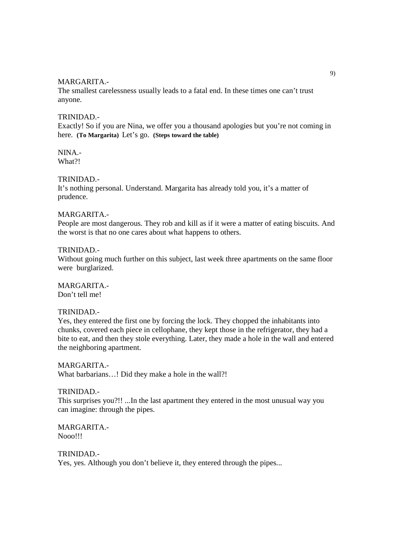#### MARGARITA.-

The smallest carelessness usually leads to a fatal end. In these times one can't trust anyone.

#### TRINIDAD.-

Exactly! So if you are Nina, we offer you a thousand apologies but you're not coming in here. **(To Margarita)** Let's go. **(Steps toward the table)**

NINA.- What?!

## TRINIDAD.-

It's nothing personal. Understand. Margarita has already told you, it's a matter of prudence.

#### MARGARITA.-

People are most dangerous. They rob and kill as if it were a matter of eating biscuits. And the worst is that no one cares about what happens to others.

#### TRINIDAD.-

Without going much further on this subject, last week three apartments on the same floor were burglarized.

MARGARITA.- Don't tell me!

#### TRINIDAD.-

Yes, they entered the first one by forcing the lock. They chopped the inhabitants into chunks, covered each piece in cellophane, they kept those in the refrigerator, they had a bite to eat, and then they stole everything. Later, they made a hole in the wall and entered the neighboring apartment.

MARGARITA.- What barbarians…! Did they make a hole in the wall?!

TRINIDAD.- This surprises you?!! ...In the last apartment they entered in the most unusual way you can imagine: through the pipes.

MARGARITA.- Nooo!!!

TRINIDAD.- Yes, yes. Although you don't believe it, they entered through the pipes...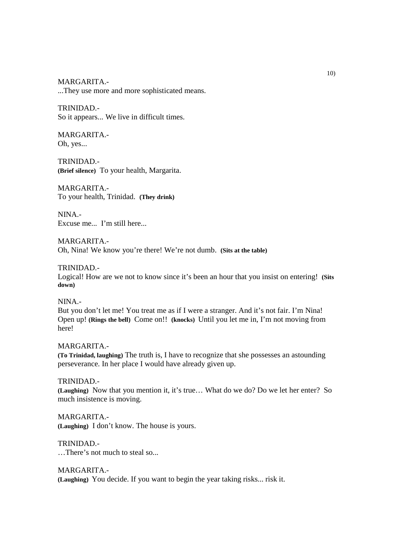MARGARITA.-

...They use more and more sophisticated means.

TRINIDAD.-

So it appears... We live in difficult times.

MARGARITA.- Oh, yes...

TRINIDAD.- **(Brief silence)** To your health, Margarita.

MARGARITA.- To your health, Trinidad. **(They drink)**

NINA.- Excuse me... I'm still here...

MARGARITA.- Oh, Nina! We know you're there! We're not dumb. **(Sits at the table)**

TRINIDAD.-

Logical! How are we not to know since it's been an hour that you insist on entering! **(Sits down)**

NINA.-

But you don't let me! You treat me as if I were a stranger. And it's not fair. I'm Nina! Open up! **(Rings the bell)** Come on!! **(knocks)** Until you let me in, I'm not moving from here!

MARGARITA.- **(To Trinidad, laughing)** The truth is, I have to recognize that she possesses an astounding perseverance. In her place I would have already given up.

TRINIDAD.- **(Laughing)** Now that you mention it, it's true… What do we do? Do we let her enter? So much insistence is moving.

MARGARITA.- **(Laughing)** I don't know. The house is yours.

TRINIDAD.- …There's not much to steal so...

MARGARITA.- **(Laughing)** You decide. If you want to begin the year taking risks... risk it.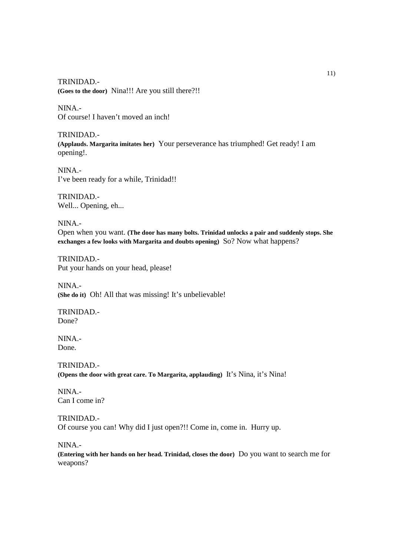TRINIDAD.- **(Goes to the door)** Nina!!! Are you still there?!!

NINA.- Of course! I haven't moved an inch!

TRINIDAD.- **(Applauds. Margarita imitates her)** Your perseverance has triumphed! Get ready! I am opening!.

NINA.- I've been ready for a while, Trinidad!!

TRINIDAD.- Well... Opening, eh...

NINA.- Open when you want. **(The door has many bolts. Trinidad unlocks a pair and suddenly stops. She exchanges a few looks with Margarita and doubts opening)** So? Now what happens?

TRINIDAD.- Put your hands on your head, please!

NINA.- **(She do it)** Oh! All that was missing! It's unbelievable!

TRINIDAD.- Done?

NINA.- Done.

TRINIDAD.- **(Opens the door with great care. To Margarita, applauding)** It's Nina, it's Nina!

NINA.- Can I come in?

TRINIDAD.- Of course you can! Why did I just open?!! Come in, come in. Hurry up.

NINA.-

**(Entering with her hands on her head. Trinidad, closes the door)** Do you want to search me for weapons?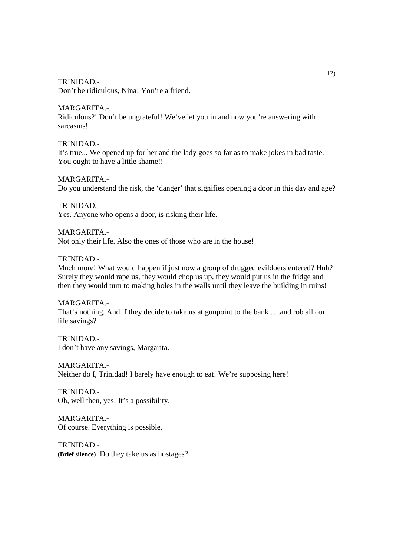Don't be ridiculous, Nina! You're a friend.

#### MARGARITA.-

Ridiculous?! Don't be ungrateful! We've let you in and now you're answering with sarcasms!

#### TRINIDAD.-

It's true... We opened up for her and the lady goes so far as to make jokes in bad taste. You ought to have a little shame!!

#### MARGARITA.-

Do you understand the risk, the 'danger' that signifies opening a door in this day and age?

TRINIDAD.- Yes. Anyone who opens a door, is risking their life.

#### MARGARITA.-

Not only their life. Also the ones of those who are in the house!

## TRINIDAD.-

Much more! What would happen if just now a group of drugged evildoers entered? Huh? Surely they would rape us, they would chop us up, they would put us in the fridge and then they would turn to making holes in the walls until they leave the building in ruins!

MARGARITA.- That's nothing. And if they decide to take us at gunpoint to the bank ….and rob all our life savings?

TRINIDAD.- I don't have any savings, Margarita.

MARGARITA.- Neither do I, Trinidad! I barely have enough to eat! We're supposing here!

TRINIDAD.- Oh, well then, yes! It's a possibility.

MARGARITA.- Of course. Everything is possible.

TRINIDAD.- **(Brief silence)** Do they take us as hostages?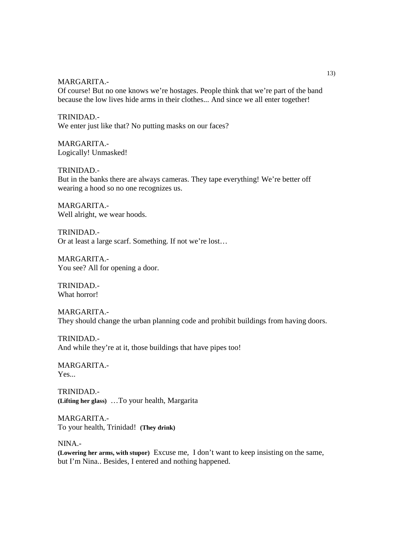MARGARITA.-

Of course! But no one knows we're hostages. People think that we're part of the band because the low lives hide arms in their clothes... And since we all enter together!

TRINIDAD.- We enter just like that? No putting masks on our faces?

MARGARITA.- Logically! Unmasked!

TRINIDAD.- But in the banks there are always cameras. They tape everything! We're better off wearing a hood so no one recognizes us.

MARGARITA.- Well alright, we wear hoods.

TRINIDAD.- Or at least a large scarf. Something. If not we're lost…

MARGARITA.- You see? All for opening a door.

TRINIDAD.- What horror!

MARGARITA.- They should change the urban planning code and prohibit buildings from having doors.

TRINIDAD.- And while they're at it, those buildings that have pipes too!

MARGARITA.- Yes...

TRINIDAD.- **(Lifting her glass)** …To your health, Margarita

MARGARITA.- To your health, Trinidad! **(They drink)**

NINA.-

**(Lowering her arms, with stupor)** Excuse me, I don't want to keep insisting on the same, but I'm Nina.. Besides, I entered and nothing happened.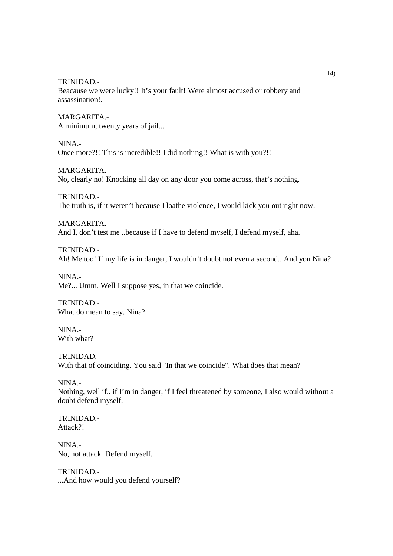Beacause we were lucky!! It's your fault! Were almost accused or robbery and assassination!.

MARGARITA.- A minimum, twenty years of jail...

NINA.- Once more?!! This is incredible!! I did nothing!! What is with you?!!

MARGARITA.- No, clearly no! Knocking all day on any door you come across, that's nothing.

TRINIDAD.- The truth is, if it weren't because I loathe violence, I would kick you out right now.

MARGARITA.- And I, don't test me ..because if I have to defend myself, I defend myself, aha.

TRINIDAD.- Ah! Me too! If my life is in danger, I wouldn't doubt not even a second.. And you Nina?

NINA.- Me?... Umm, Well I suppose yes, in that we coincide.

TRINIDAD.- What do mean to say, Nina?

NINA.- With what?

TRINIDAD.- With that of coinciding. You said "In that we coincide". What does that mean?

NINA.- Nothing, well if.. if I'm in danger, if I feel threatened by someone, I also would without a doubt defend myself.

TRINIDAD.- Attack<sup>?!</sup>

NINA.- No, not attack. Defend myself.

TRINIDAD.- ...And how would you defend yourself?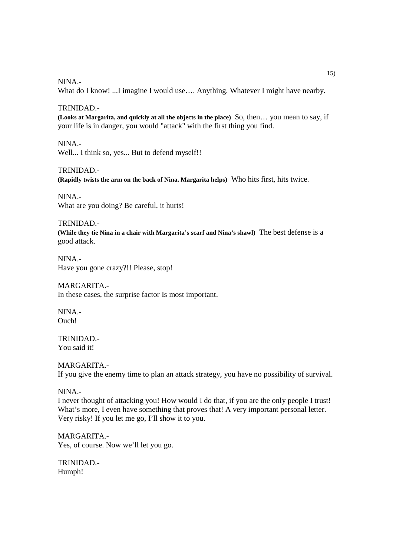NINA.-

What do I know! ...I imagine I would use.... Anything. Whatever I might have nearby.

TRINIDAD.-

**(Looks at Margarita, and quickly at all the objects in the place)** So, then… you mean to say, if your life is in danger, you would "attack" with the first thing you find.

NINA.- Well... I think so, yes... But to defend myself!!

TRINIDAD.- **(Rapidly twists the arm on the back of Nina. Margarita helps)** Who hits first, hits twice.

NINA.- What are you doing? Be careful, it hurts!

TRINIDAD.- **(While they tie Nina in a chair with Margarita's scarf and Nina's shawl)** The best defense is a good attack.

NINA.- Have you gone crazy?!! Please, stop!

MARGARITA.- In these cases, the surprise factor Is most important.

NINA.- Ouch!

TRINIDAD.- You said it!

MARGARITA.- If you give the enemy time to plan an attack strategy, you have no possibility of survival.

#### NINA.-

I never thought of attacking you! How would I do that, if you are the only people I trust! What's more. I even have something that proves that! A very important personal letter. Very risky! If you let me go, I'll show it to you.

MARGARITA.- Yes, of course. Now we'll let you go.

TRINIDAD.- Humph!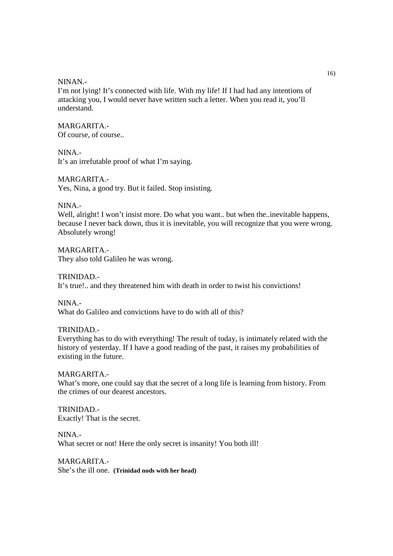#### NINAN.-

I'm not lying! It's connected with life. With my life! If I had had any intentions of attacking you, I would never have written such a letter. When you read it, you'll understand.

#### MARGARITA.-

Of course, of course..

NINA.-

It's an irrefutable proof of what I'm saying.

#### MARGARITA.-

Yes, Nina, a good try. But it failed. Stop insisting.

#### NINA.-

Well, alright! I won't insist more. Do what you want.. but when the..inevitable happens, because I never back down, thus it is inevitable, you will recognize that you were wrong. Absolutely wrong!

MARGARITA.- They also told Galileo he was wrong.

## TRINIDAD.- It's true!.. and they threatened him with death in order to twist his convictions!

NINA.- What do Galileo and convictions have to do with all of this?

## TRINIDAD.-

Everything has to do with everything! The result of today, is intimately related with the history of yesterday. If I have a good reading of the past, it raises my probabilities of existing in the future.

## MARGARITA.-

What's more, one could say that the secret of a long life is learning from history. From the crimes of our dearest ancestors.

TRINIDAD.- Exactly! That is the secret.

NINA.- What secret or not! Here the only secret is insanity! You both ill!

MARGARITA.- She's the ill one. **(Trinidad nods with her head)**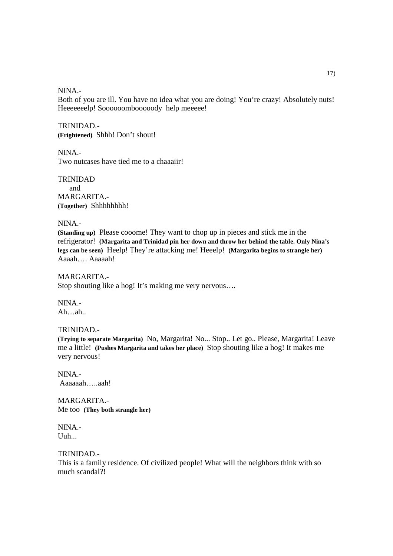NINA.-

Both of you are ill. You have no idea what you are doing! You're crazy! Absolutely nuts! Heeeeeeelp! Soooooombooooody help meeeee!

TRINIDAD.- **(Frightened)** Shhh! Don't shout!

NINA.- Two nutcases have tied me to a chaaaiir!

TRINIDAD and MARGARITA.- **(Together)** Shhhhhhhh!

NINA.-

**(Standing up)** Please cooome! They want to chop up in pieces and stick me in the refrigerator! **(Margarita and Trinidad pin her down and throw her behind the table. Only Nina's legs can be seen)** Heelp! They're attacking me! Heeelp! **(Margarita begins to strangle her)** Aaaah…. Aaaaah!

MARGARITA.- Stop shouting like a hog! It's making me very nervous….

NINA.- Ah…ah..

#### TRINIDAD.-

**(Trying to separate Margarita)** No, Margarita! No... Stop.. Let go.. Please, Margarita! Leave me a little! **(Pushes Margarita and takes her place)** Stop shouting like a hog! It makes me very nervous!

NINA.- Aaaaaah…..aah!

MARGARITA.- Me too **(They both strangle her)**

NINA.- Uuh...

TRINIDAD.- This is a family residence. Of civilized people! What will the neighbors think with so much scandal?!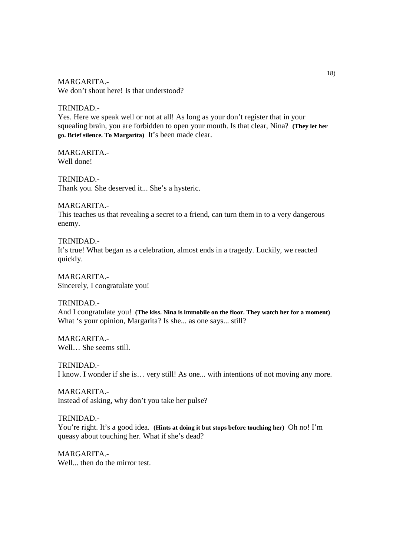MARGARITA.- We don't shout here! Is that understood?

TRINIDAD.- Yes. Here we speak well or not at all! As long as your don't register that in your squealing brain, you are forbidden to open your mouth. Is that clear, Nina? **(They let her go. Brief silence. To Margarita)** It's been made clear.

MARGARITA.- Well done!

TRINIDAD.- Thank you. She deserved it... She's a hysteric.

MARGARITA.- This teaches us that revealing a secret to a friend, can turn them in to a very dangerous enemy.

TRINIDAD.- It's true! What began as a celebration, almost ends in a tragedy. Luckily, we reacted quickly.

MARGARITA.- Sincerely, I congratulate you!

TRINIDAD.- And I congratulate you! **(The kiss. Nina is immobile on the floor. They watch her for a moment)** What 's your opinion, Margarita? Is she... as one says... still?

MARGARITA.- Well… She seems still.

TRINIDAD.- I know. I wonder if she is… very still! As one... with intentions of not moving any more.

MARGARITA.- Instead of asking, why don't you take her pulse?

TRINIDAD.- You're right. It's a good idea. **(Hints at doing it but stops before touching her)** Oh no! I'm queasy about touching her. What if she's dead?

MARGARITA.- Well... then do the mirror test.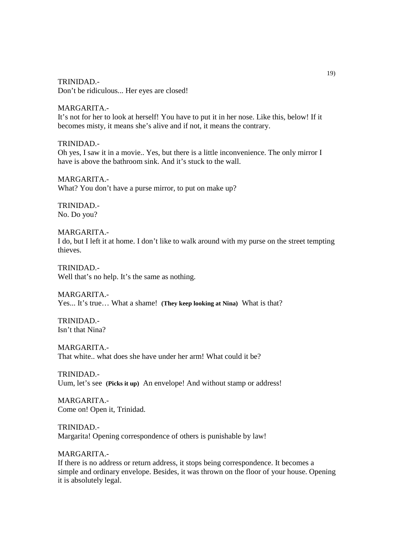TRINIDAD.- Don't be ridiculous... Her eyes are closed!

MARGARITA.- It's not for her to look at herself! You have to put it in her nose. Like this, below! If it becomes misty, it means she's alive and if not, it means the contrary.

TRINIDAD.- Oh yes, I saw it in a movie.. Yes, but there is a little inconvenience. The only mirror I have is above the bathroom sink. And it's stuck to the wall.

MARGARITA.- What? You don't have a purse mirror, to put on make up?

TRINIDAD.- No. Do you?

MARGARITA.- I do, but I left it at home. I don't like to walk around with my purse on the street tempting thieves.

TRINIDAD.- Well that's no help. It's the same as nothing.

MARGARITA.- Yes... It's true… What a shame! **(They keep looking at Nina)** What is that?

TRINIDAD.- Isn't that Nina?

MARGARITA.- That white.. what does she have under her arm! What could it be?

TRINIDAD.- Uum, let's see **(Picks it up)** An envelope! And without stamp or address!

MARGARITA.- Come on! Open it, Trinidad.

TRINIDAD.- Margarita! Opening correspondence of others is punishable by law!

MARGARITA.- If there is no address or return address, it stops being correspondence. It becomes a simple and ordinary envelope. Besides, it was thrown on the floor of your house. Opening it is absolutely legal.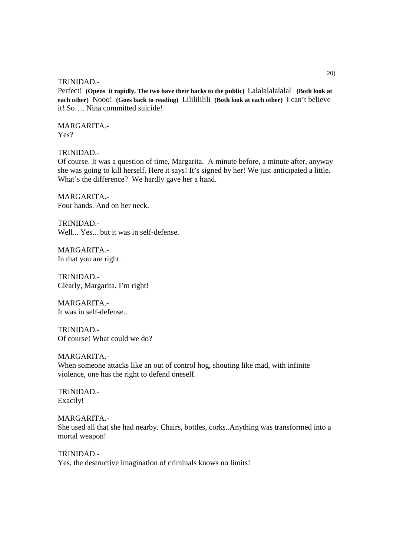Perfect! **(Opens it rapidly. The two have their backs to the public)** Lalalalalalalal **(Both look at each other)** Nooo! **(Goes back to reading)** Lililililili **(Both look at each other)** I can't believe it! So…. Nina committed suicide!

MARGARITA.- Yes?

TRINIDAD.-

Of course. It was a question of time, Margarita. A minute before, a minute after, anyway she was going to kill herself. Here it says! It's signed by her! We just anticipated a little. What's the difference? We hardly gave her a hand.

MARGARITA.- Four hands. And on her neck.

TRINIDAD.- Well... Yes... but it was in self-defense.

MARGARITA.- In that you are right.

TRINIDAD.- Clearly, Margarita. I'm right!

MARGARITA.- It was in self-defense..

TRINIDAD.- Of course! What could we do?

#### MARGARITA.-

When someone attacks like an out of control hog, shouting like mad, with infinite violence, one has the right to defend oneself.

TRINIDAD.- Exactly!

MARGARITA.- She used all that she had nearby. Chairs, bottles, corks..Anything was transformed into a mortal weapon!

TRINIDAD.- Yes, the destructive imagination of criminals knows no limits!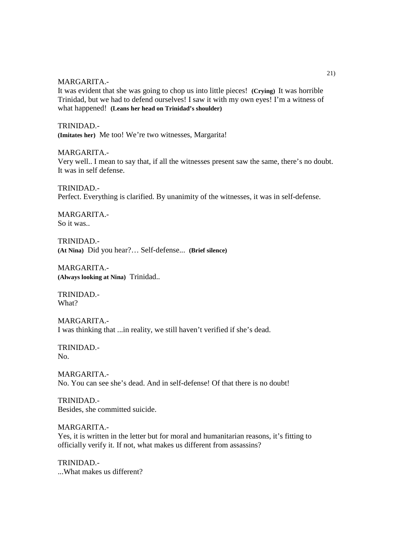#### MARGARITA.-

It was evident that she was going to chop us into little pieces! **(Crying)** It was horrible Trinidad, but we had to defend ourselves! I saw it with my own eyes! I'm a witness of what happened! **(Leans her head on Trinidad's shoulder)**

#### TRINIDAD.-

**(Imitates her)** Me too! We're two witnesses, Margarita!

#### MARGARITA.-

Very well.. I mean to say that, if all the witnesses present saw the same, there's no doubt. It was in self defense.

TRINIDAD.- Perfect. Everything is clarified. By unanimity of the witnesses, it was in self-defense.

MARGARITA.- So it was..

TRINIDAD.- **(At Nina)** Did you hear?… Self-defense... **(Brief silence)**

MARGARITA.- **(Always looking at Nina)** Trinidad..

TRINIDAD.- What?

MARGARITA.- I was thinking that ...in reality, we still haven't verified if she's dead.

TRINIDAD.- No.

MARGARITA.- No. You can see she's dead. And in self-defense! Of that there is no doubt!

TRINIDAD.- Besides, she committed suicide.

MARGARITA.- Yes, it is written in the letter but for moral and humanitarian reasons, it's fitting to officially verify it. If not, what makes us different from assassins?

TRINIDAD.- ...What makes us different?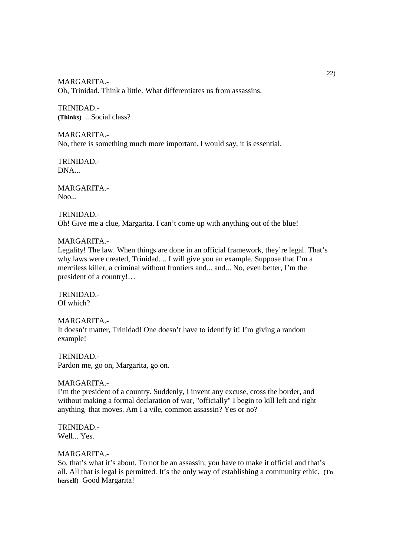MARGARITA.- Oh, Trinidad. Think a little. What differentiates us from assassins.

TRINIDAD.- **(Thinks)** ...Social class?

MARGARITA.- No, there is something much more important. I would say, it is essential.

TRINIDAD.- DNA...

MARGARITA.-  $Noo...$ 

#### TRINIDAD.- Oh! Give me a clue, Margarita. I can't come up with anything out of the blue!

## MARGARITA.-

Legality! The law. When things are done in an official framework, they're legal. That's why laws were created, Trinidad. .. I will give you an example. Suppose that I'm a merciless killer, a criminal without frontiers and... and... No, even better, I'm the president of a country!…

TRINIDAD.- Of which?

MARGARITA.- It doesn't matter, Trinidad! One doesn't have to identify it! I'm giving a random example!

TRINIDAD.- Pardon me, go on, Margarita, go on.

#### MARGARITA.-

I'm the president of a country. Suddenly, I invent any excuse, cross the border, and without making a formal declaration of war, "officially" I begin to kill left and right anything that moves. Am I a vile, common assassin? Yes or no?

TRINIDAD.- Well... Yes.

## MARGARITA.-

So, that's what it's about. To not be an assassin, you have to make it official and that's all. All that is legal is permitted. It's the only way of establishing a community ethic. **(To herself)** Good Margarita!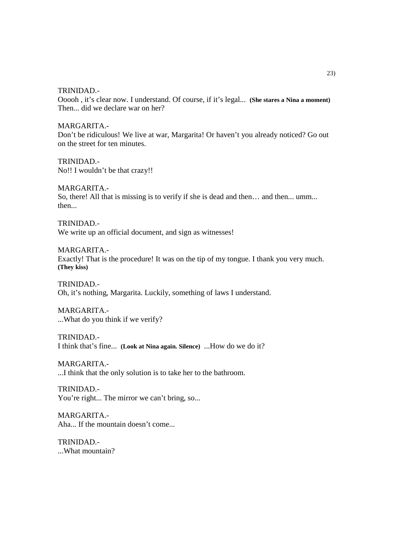Ooooh , it's clear now. I understand. Of course, if it's legal... **(She stares a Nina a moment)** Then... did we declare war on her?

MARGARITA.- Don't be ridiculous! We live at war, Margarita! Or haven't you already noticed? Go out on the street for ten minutes.

TRINIDAD.- No!! I wouldn't be that crazy!!

MARGARITA.- So, there! All that is missing is to verify if she is dead and then… and then... umm... then...

TRINIDAD.- We write up an official document, and sign as witnesses!

MARGARITA.- Exactly! That is the procedure! It was on the tip of my tongue. I thank you very much. **(They kiss)**

TRINIDAD.- Oh, it's nothing, Margarita. Luckily, something of laws I understand.

MARGARITA.- ...What do you think if we verify?

TRINIDAD.- I think that's fine... **(Look at Nina again. Silence)** ...How do we do it?

MARGARITA.- ...I think that the only solution is to take her to the bathroom.

TRINIDAD.- You're right... The mirror we can't bring, so...

MARGARITA.- Aha... If the mountain doesn't come...

TRINIDAD.- ...What mountain?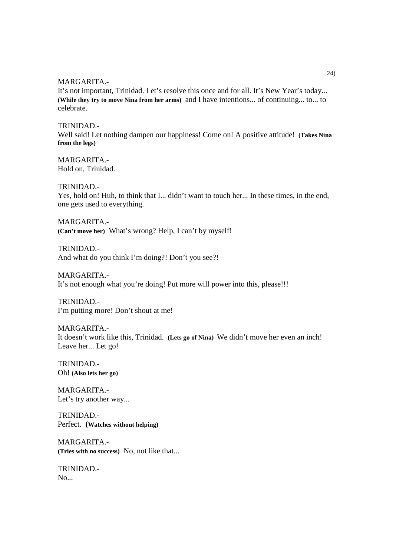MARGARITA.-

It's not important, Trinidad. Let's resolve this once and for all. It's New Year's today... **(While they try to move Nina from her arms)** and I have intentions... of continuing... to... to celebrate.

TRINIDAD.-

Well said! Let nothing dampen our happiness! Come on! A positive attitude! **(Takes Nina from the legs)**

MARGARITA.- Hold on, Trinidad.

TRINIDAD.-

Yes, hold on! Huh, to think that I... didn't want to touch her... In these times, in the end, one gets used to everything.

MARGARITA.- **(Can't move her)** What's wrong? Help, I can't by myself!

TRINIDAD.- And what do you think I'm doing?! Don't you see?!

MARGARITA.- It's not enough what you're doing! Put more will power into this, please!!!

TRINIDAD.- I'm putting more! Don't shout at me!

MARGARITA.- It doesn't work like this, Trinidad. **(Lets go of Nina)** We didn't move her even an inch! Leave her... Let go!

TRINIDAD.- Oh! **(Also lets her go)**

MARGARITA.- Let's try another way...

TRINIDAD.- Perfect. **(Watches without helping)**

MARGARITA.- **(Tries with no success)** No, not like that...

TRINIDAD.- No...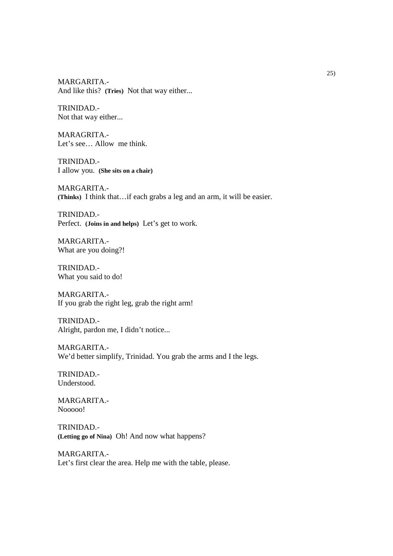MARGARITA.- And like this? **(Tries)** Not that way either...

TRINIDAD.- Not that way either...

MARAGRITA.- Let's see… Allow me think.

TRINIDAD.- I allow you. **(She sits on a chair)**

MARGARITA.- **(Thinks)** I think that…if each grabs a leg and an arm, it will be easier.

TRINIDAD.- Perfect. **(Joins in and helps)** Let's get to work.

MARGARITA.- What are you doing?!

TRINIDAD.- What you said to do!

MARGARITA.- If you grab the right leg, grab the right arm!

TRINIDAD.- Alright, pardon me, I didn't notice...

MARGARITA.- We'd better simplify, Trinidad. You grab the arms and I the legs.

TRINIDAD.- Understood.

MARGARITA.- Nooooo!

TRINIDAD.- **(Letting go of Nina)** Oh! And now what happens?

MARGARITA.- Let's first clear the area. Help me with the table, please.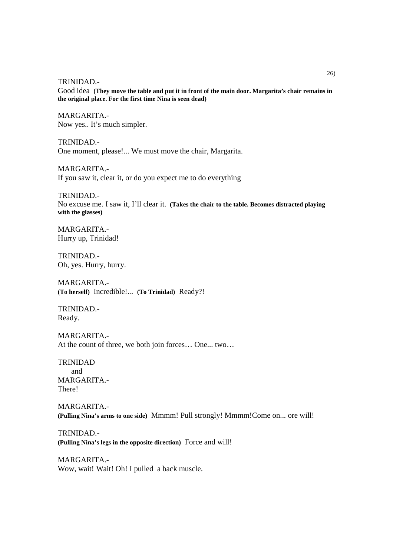Good idea **(They move the table and put it in front of the main door. Margarita's chair remains in the original place. For the first time Nina is seen dead)**

MARGARITA.- Now yes.. It's much simpler.

TRINIDAD.- One moment, please!... We must move the chair, Margarita.

MARGARITA.- If you saw it, clear it, or do you expect me to do everything

TRINIDAD.- No excuse me. I saw it, I'll clear it. **(Takes the chair to the table. Becomes distracted playing with the glasses)**

MARGARITA.- Hurry up, Trinidad!

TRINIDAD.- Oh, yes. Hurry, hurry.

MARGARITA.- **(To herself)** Incredible!... **(To Trinidad)** Ready?!

TRINIDAD.- Ready.

MARGARITA.- At the count of three, we both join forces… One... two…

TRINIDAD and MARGARITA.- There!

MARGARITA.- **(Pulling Nina's arms to one side)** Mmmm! Pull strongly! Mmmm!Come on... ore will!

TRINIDAD.- **(Pulling Nina's legs in the opposite direction)** Force and will!

MARGARITA.- Wow, wait! Wait! Oh! I pulled a back muscle.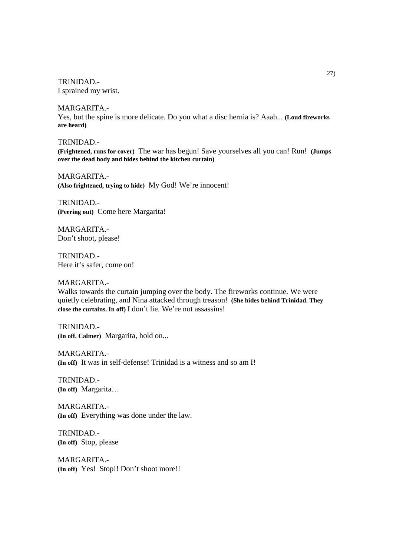TRINIDAD.- I sprained my wrist.

MARGARITA.- Yes, but the spine is more delicate. Do you what a disc hernia is? Aaah... **(Loud fireworks are heard)**

TRINIDAD.- **(Frightened, runs for cover)** The war has begun! Save yourselves all you can! Run! **(Jumps over the dead body and hides behind the kitchen curtain)**

MARGARITA.- **(Also frightened, trying to hide)** My God! We're innocent!

TRINIDAD.- **(Peering out)** Come here Margarita!

MARGARITA.- Don't shoot, please!

TRINIDAD.- Here it's safer, come on!

#### MARGARITA.-

Walks towards the curtain jumping over the body. The fireworks continue. We were quietly celebrating, and Nina attacked through treason! **(She hides behind Trinidad. They close the curtains. In off)** I don't lie. We're not assassins!

TRINIDAD.- **(In off. Calmer)** Margarita, hold on...

MARGARITA.- **(In off)** It was in self-defense! Trinidad is a witness and so am I!

TRINIDAD.- **(In off)** Margarita…

MARGARITA.- **(In off)** Everything was done under the law.

TRINIDAD.- **(In off)** Stop, please

MARGARITA.- **(In off)** Yes! Stop!! Don't shoot more!!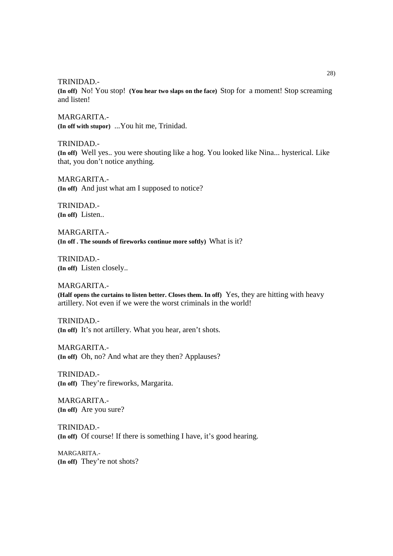**(In off)** No! You stop! **(You hear two slaps on the face)** Stop for a moment! Stop screaming and listen!

MARGARITA.- **(In off with stupor)** ...You hit me, Trinidad.

TRINIDAD.- **(In off)** Well yes.. you were shouting like a hog. You looked like Nina... hysterical. Like that, you don't notice anything.

MARGARITA.- **(In off)** And just what am I supposed to notice?

TRINIDAD.- **(In off)** Listen..

MARGARITA.- **(In off . The sounds of fireworks continue more softly)** What is it?

TRINIDAD.- **(In off)** Listen closely..

MARGARITA.- **(Half opens the curtains to listen better. Closes them. In off)** Yes, they are hitting with heavy artillery. Not even if we were the worst criminals in the world!

TRINIDAD.- **(In off)** It's not artillery. What you hear, aren't shots.

MARGARITA.- **(In off)** Oh, no? And what are they then? Applauses?

TRINIDAD.- **(In off)** They're fireworks, Margarita.

MARGARITA.- **(In off)** Are you sure?

TRINIDAD.- **(In off)** Of course! If there is something I have, it's good hearing.

MARGARITA.- **(In off)** They're not shots?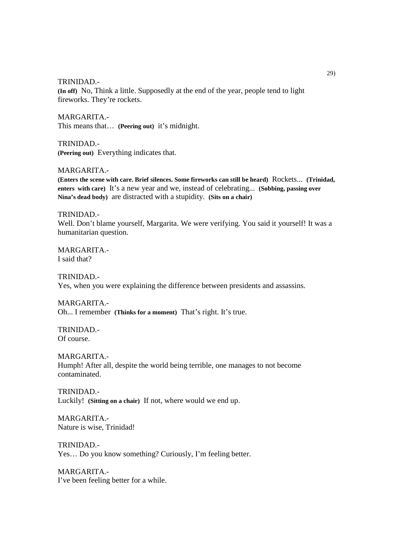**(In off)** No, Think a little. Supposedly at the end of the year, people tend to light fireworks. They're rockets.

MARGARITA.- This means that… **(Peering out)** it's midnight.

TRINIDAD.- **(Peering out)** Everything indicates that.

MARGARITA.-

**(Enters the scene with care. Brief silences. Some fireworks can still be heard)** Rockets... **(Trinidad, enters with care)** It's a new year and we, instead of celebrating... **(Sobbing, passing over Nina's dead body)** are distracted with a stupidity. **(Sits on a chair)**

TRINIDAD.- Well. Don't blame yourself, Margarita. We were verifying. You said it yourself! It was a humanitarian question.

MARGARITA.- I said that?

TRINIDAD.- Yes, when you were explaining the difference between presidents and assassins.

MARGARITA.- Oh... I remember **(Thinks for a moment)** That's right. It's true.

TRINIDAD.- Of course.

MARGARITA.- Humph! After all, despite the world being terrible, one manages to not become contaminated.

TRINIDAD.- Luckily! **(Sitting on a chair)** If not, where would we end up.

MARGARITA.- Nature is wise, Trinidad!

TRINIDAD.- Yes… Do you know something? Curiously, I'm feeling better.

MARGARITA.- I've been feeling better for a while.